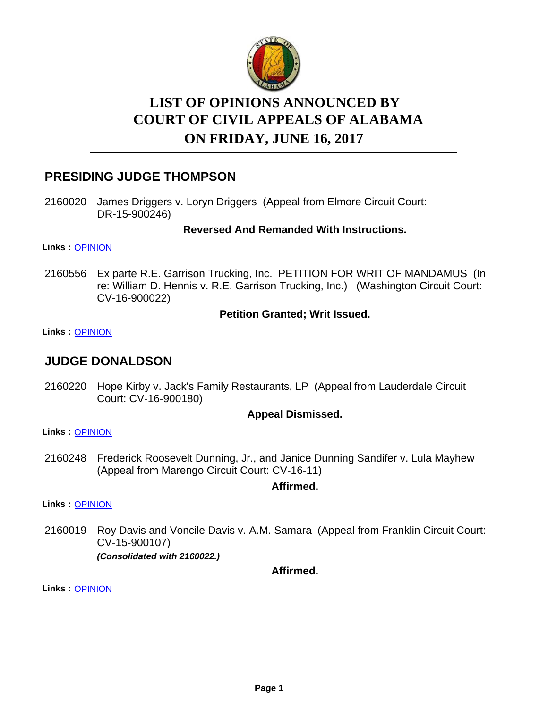

# **LIST OF OPINIONS ANNOUNCED BY ON FRIDAY, JUNE 16, 2017 COURT OF CIVIL APPEALS OF ALABAMA**

## **PRESIDING JUDGE THOMPSON**

2160020 James Driggers v. Loryn Driggers (Appeal from Elmore Circuit Court: DR-15-900246)

**Reversed And Remanded With Instructions.**

**Links :** [OPINION](https://acis.alabama.gov/displaydocs.cfm?no=808624&event=4XY0MAAW7)

2160556 Ex parte R.E. Garrison Trucking, Inc. PETITION FOR WRIT OF MANDAMUS (In re: William D. Hennis v. R.E. Garrison Trucking, Inc.) (Washington Circuit Court: CV-16-900022)

#### **Petition Granted; Writ Issued.**

**Links :** [OPINION](https://acis.alabama.gov/displaydocs.cfm?no=808628&event=4XY0MABN1)

## **JUDGE DONALDSON**

2160220 Hope Kirby v. Jack's Family Restaurants, LP (Appeal from Lauderdale Circuit Court: CV-16-900180)

#### **Appeal Dismissed.**

**Links :** [OPINION](https://acis.alabama.gov/displaydocs.cfm?no=808625&event=4XY0MAB28)

2160248 Frederick Roosevelt Dunning, Jr., and Janice Dunning Sandifer v. Lula Mayhew (Appeal from Marengo Circuit Court: CV-16-11)

#### **Affirmed.**

**Links :** [OPINION](https://acis.alabama.gov/displaydocs.cfm?no=808626&event=4XY0MAB8B)

2160019 Roy Davis and Voncile Davis v. A.M. Samara (Appeal from Franklin Circuit Court: CV-15-900107) *(Consolidated with 2160022.)*

**Affirmed.**

**Links :** [OPINION](https://acis.alabama.gov/displaydocs.cfm?no=808623&event=4XY0MAAEF)